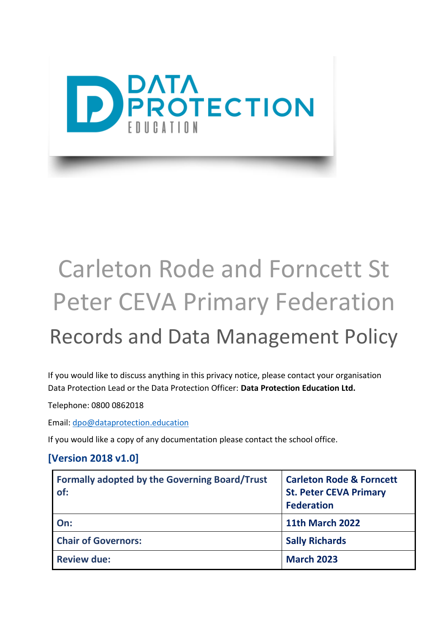

# Carleton Rode and Forncett St Peter CEVA Primary Federation

# Records and Data Management Policy

If you would like to discuss anything in this privacy notice, please contact your organisation Data Protection Lead or the Data Protection Officer: **Data Protection Education Ltd.**

Telephone: 0800 0862018

Email: [dpo@dataprotection.education](mailto:dpo@dataprotection.education)

If you would like a copy of any documentation please contact the school office.

#### **[Version 2018 v1.0]**

| Formally adopted by the Governing Board/Trust<br>of: | <b>Carleton Rode &amp; Forncett</b><br><b>St. Peter CEVA Primary</b><br><b>Federation</b> |
|------------------------------------------------------|-------------------------------------------------------------------------------------------|
| On:                                                  | <b>11th March 2022</b>                                                                    |
| <b>Chair of Governors:</b>                           | <b>Sally Richards</b>                                                                     |
| <b>Review due:</b>                                   | <b>March 2023</b>                                                                         |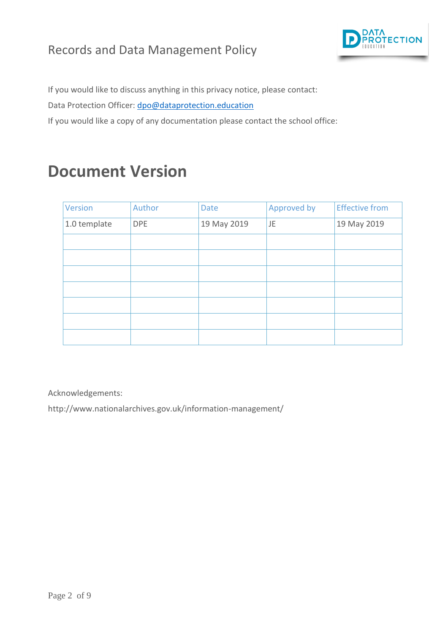

If you would like to discuss anything in this privacy notice, please contact:

Data Protection Officer: [dpo@dataprotection.education](mailto:dpo@dataprotection.education)

If you would like a copy of any documentation please contact the school office:

### **Document Version**

| Version      | Author     | <b>Date</b> | Approved by | <b>Effective from</b> |
|--------------|------------|-------------|-------------|-----------------------|
| 1.0 template | <b>DPE</b> | 19 May 2019 | JE          | 19 May 2019           |
|              |            |             |             |                       |
|              |            |             |             |                       |
|              |            |             |             |                       |
|              |            |             |             |                       |
|              |            |             |             |                       |
|              |            |             |             |                       |
|              |            |             |             |                       |

Acknowledgements:

http://www.nationalarchives.gov.uk/information-management/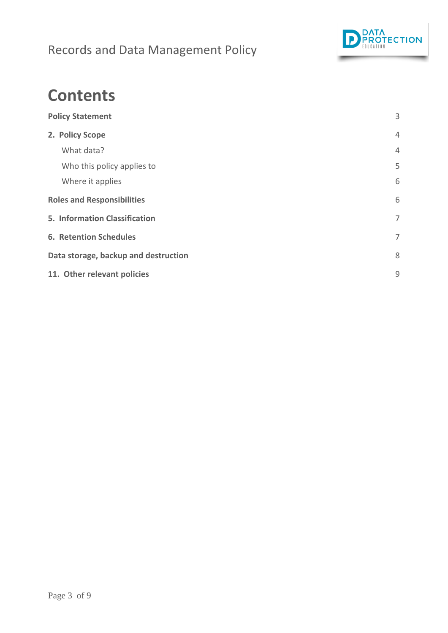

### <span id="page-2-0"></span>**Contents**

| <b>Policy Statement</b>              | 3              |
|--------------------------------------|----------------|
| 2. Policy Scope                      | $\overline{4}$ |
| What data?                           | 4              |
| Who this policy applies to           | 5              |
| Where it applies                     | 6              |
| <b>Roles and Responsibilities</b>    | 6              |
| 5. Information Classification        | 7              |
| <b>6. Retention Schedules</b>        | 7              |
| Data storage, backup and destruction | 8              |
| 11. Other relevant policies          | 9              |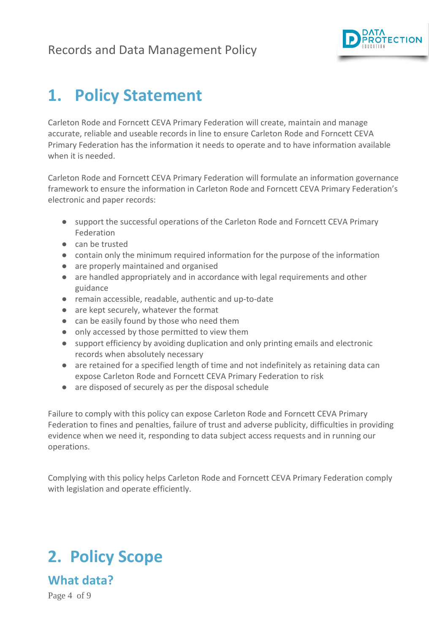

### **1. Policy Statement**

Carleton Rode and Forncett CEVA Primary Federation will create, maintain and manage accurate, reliable and useable records in line to ensure Carleton Rode and Forncett CEVA Primary Federation has the information it needs to operate and to have information available when it is needed.

1.4. Carleton Rode and Forncett CEVA Primary Federation will formulate an information governance framework to ensure the information in Carleton Rode and Forncett CEVA Primary Federation's electronic and paper records:

- support the successful operations of the Carleton Rode and Forncett CEVA Primary Federation
- can be trusted
- contain only the minimum required information for the purpose of the information
- are properly maintained and organised
- are handled appropriately and in accordance with legal requirements and other guidance
- remain accessible, readable, authentic and up-to-date
- are kept securely, whatever the format
- can be easily found by those who need them
- only accessed by those permitted to view them
- support efficiency by avoiding duplication and only printing emails and electronic records when absolutely necessary
- are retained for a specified length of time and not indefinitely as retaining data can expose Carleton Rode and Forncett CEVA Primary Federation to risk
- are disposed of securely as per the disposal schedule

Failure to comply with this policy can expose Carleton Rode and Forncett CEVA Primary Federation to fines and penalties, failure of trust and adverse publicity, difficulties in providing evidence when we need it, responding to data subject access requests and in running our operations.

Complying with this policy helps Carleton Rode and Forncett CEVA Primary Federation comply with legislation and operate efficiently.

## <span id="page-3-0"></span>**2. Policy Scope**

<span id="page-3-1"></span>**What data?** 

Page 4 of 9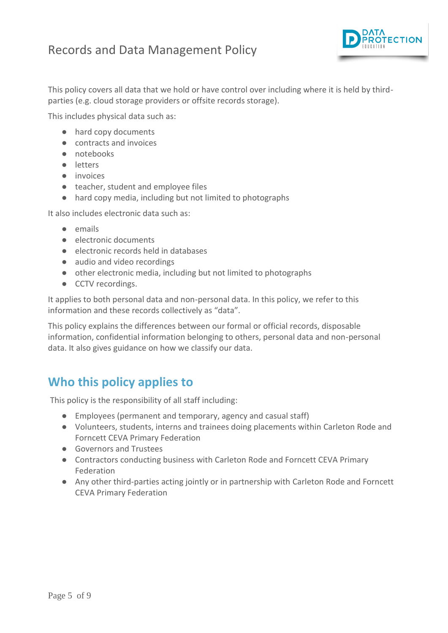

This policy covers all data that we hold or have control over including where it is held by thirdparties (e.g. cloud storage providers or offsite records storage).

This includes physical data such as:

- hard copy documents
- contracts and invoices
- notebooks
- letters
- invoices
- teacher, student and employee files
- hard copy media, including but not limited to photographs

It also includes electronic data such as:

- emails
- electronic documents
- electronic records held in databases
- audio and video recordings
- other electronic media, including but not limited to photographs
- CCTV recordings.

It applies to both personal data and non-personal data. In this policy, we refer to this information and these records collectively as "data".

This policy explains the differences between our formal or official records, disposable information, confidential information belonging to others, personal data and non-personal data. It also gives guidance on how we classify our data.

#### <span id="page-4-0"></span>**Who this policy applies to**

This policy is the responsibility of all staff including:

- Employees (permanent and temporary, agency and casual staff)
- Volunteers, students, interns and trainees doing placements within Carleton Rode and Forncett CEVA Primary Federation
- Governors and Trustees
- Contractors conducting business with Carleton Rode and Forncett CEVA Primary Federation
- Any other third-parties acting jointly or in partnership with Carleton Rode and Forncett CEVA Primary Federation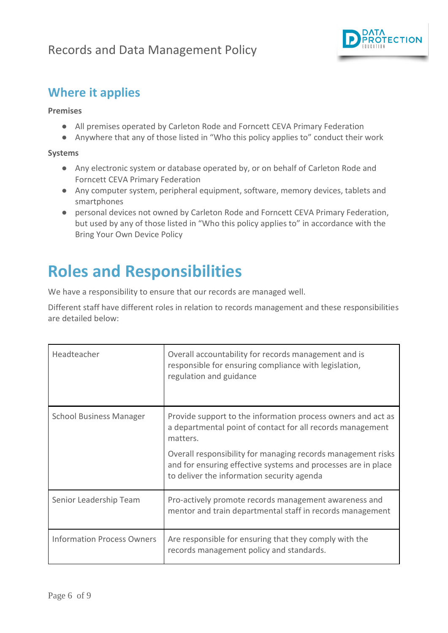

#### <span id="page-5-0"></span>**Where it applies**

#### **Premises**

- All premises operated by Carleton Rode and Forncett CEVA Primary Federation
- Anywhere that any of those listed in "Who this policy applies to" conduct their work

#### **Systems**

- Any electronic system or database operated by, or on behalf of Carleton Rode and Forncett CEVA Primary Federation
- Any computer system, peripheral equipment, software, memory devices, tablets and smartphones
- personal devices not owned by Carleton Rode and Forncett CEVA Primary Federation, but used by any of those listed in "Who this policy applies to" in accordance with the Bring Your Own Device Policy

### <span id="page-5-1"></span>**Roles and Responsibilities**

We have a responsibility to ensure that our records are managed well.

Different staff have different roles in relation to records management and these responsibilities are detailed below:

| Headteacher                       | Overall accountability for records management and is<br>responsible for ensuring compliance with legislation,<br>regulation and guidance                                    |
|-----------------------------------|-----------------------------------------------------------------------------------------------------------------------------------------------------------------------------|
| <b>School Business Manager</b>    | Provide support to the information process owners and act as<br>a departmental point of contact for all records management<br>matters.                                      |
|                                   | Overall responsibility for managing records management risks<br>and for ensuring effective systems and processes are in place<br>to deliver the information security agenda |
| Senior Leadership Team            | Pro-actively promote records management awareness and<br>mentor and train departmental staff in records management                                                          |
| <b>Information Process Owners</b> | Are responsible for ensuring that they comply with the<br>records management policy and standards.                                                                          |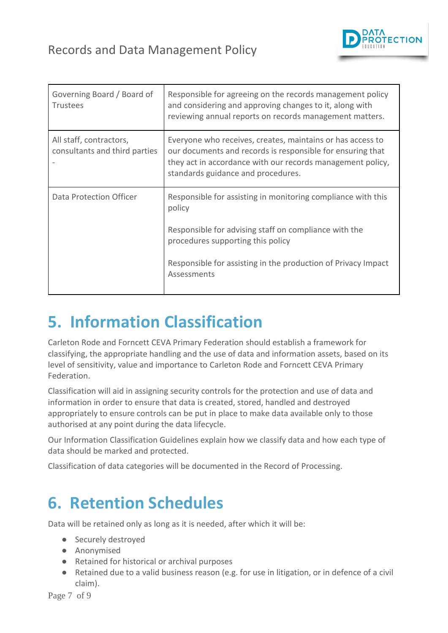

| Governing Board / Board of<br><b>Trustees</b>            | Responsible for agreeing on the records management policy<br>and considering and approving changes to it, along with<br>reviewing annual reports on records management matters.                                                                      |
|----------------------------------------------------------|------------------------------------------------------------------------------------------------------------------------------------------------------------------------------------------------------------------------------------------------------|
| All staff, contractors,<br>consultants and third parties | Everyone who receives, creates, maintains or has access to<br>our documents and records is responsible for ensuring that<br>they act in accordance with our records management policy,<br>standards guidance and procedures.                         |
| Data Protection Officer                                  | Responsible for assisting in monitoring compliance with this<br>policy<br>Responsible for advising staff on compliance with the<br>procedures supporting this policy<br>Responsible for assisting in the production of Privacy Impact<br>Assessments |

### <span id="page-6-0"></span>**5. Information Classification**

Carleton Rode and Forncett CEVA Primary Federation should establish a framework for classifying, the appropriate handling and the use of data and information assets, based on its level of sensitivity, value and importance to Carleton Rode and Forncett CEVA Primary Federation.

Classification will aid in assigning security controls for the protection and use of data and information in order to ensure that data is created, stored, handled and destroyed appropriately to ensure controls can be put in place to make data available only to those authorised at any point during the data lifecycle.

Our Information Classification Guidelines explain how we classify data and how each type of data should be marked and protected.

Classification of data categories will be documented in the Record of Processing.

### <span id="page-6-1"></span>**6. Retention Schedules**

Data will be retained only as long as it is needed, after which it will be:

- Securely destroyed
- Anonymised
- Retained for historical or archival purposes
- Retained due to a valid business reason (e.g. for use in litigation, or in defence of a civil claim).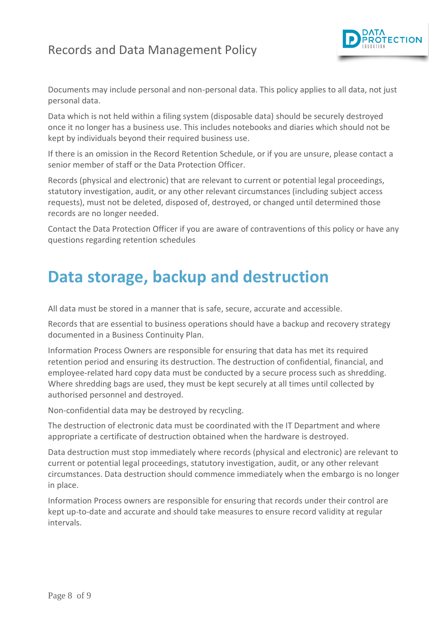

Documents may include personal and non-personal data. This policy applies to all data, not just personal data.

Data which is not held within a filing system (disposable data) should be securely destroyed once it no longer has a business use. This includes notebooks and diaries which should not be kept by individuals beyond their required business use.

If there is an omission in the Record Retention Schedule, or if you are unsure, please contact a senior member of staff or the Data Protection Officer.

Records (physical and electronic) that are relevant to current or potential legal proceedings, statutory investigation, audit, or any other relevant circumstances (including subject access requests), must not be deleted, disposed of, destroyed, or changed until determined those records are no longer needed.

Contact the Data Protection Officer if you are aware of contraventions of this policy or have any questions regarding retention schedules

### <span id="page-7-0"></span>**Data storage, backup and destruction**

All data must be stored in a manner that is safe, secure, accurate and accessible.

Records that are essential to business operations should have a backup and recovery strategy documented in a Business Continuity Plan.

Information Process Owners are responsible for ensuring that data has met its required retention period and ensuring its destruction. The destruction of confidential, financial, and employee-related hard copy data must be conducted by a secure process such as shredding. Where shredding bags are used, they must be kept securely at all times until collected by authorised personnel and destroyed.

Non-confidential data may be destroyed by recycling.

The destruction of electronic data must be coordinated with the IT Department and where appropriate a certificate of destruction obtained when the hardware is destroyed.

Data destruction must stop immediately where records (physical and electronic) are relevant to current or potential legal proceedings, statutory investigation, audit, or any other relevant circumstances. Data destruction should commence immediately when the embargo is no longer in place.

Information Process owners are responsible for ensuring that records under their control are kept up-to-date and accurate and should take measures to ensure record validity at regular intervals.